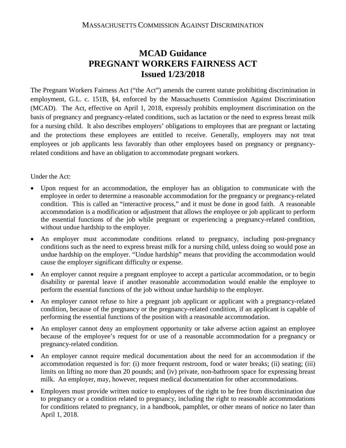## **MCAD Guidance PREGNANT WORKERS FAIRNESS ACT Issued 1/23/2018**

The Pregnant Workers Fairness Act ("the Act") amends the current statute prohibiting discrimination in employment, G.L. c. 151B, §4, enforced by the Massachusetts Commission Against Discrimination (MCAD). The Act, effective on April 1, 2018, expressly prohibits employment discrimination on the basis of pregnancy and pregnancy-related conditions, such as lactation or the need to express breast milk for a nursing child. It also describes employers' obligations to employees that are pregnant or lactating and the protections these employees are entitled to receive. Generally, employers may not treat employees or job applicants less favorably than other employees based on pregnancy or pregnancyrelated conditions and have an obligation to accommodate pregnant workers.

## Under the Act:

- Upon request for an accommodation, the employer has an obligation to communicate with the employee in order to determine a reasonable accommodation for the pregnancy or pregnancy-related condition. This is called an "interactive process," and it must be done in good faith. A reasonable accommodation is a modification or adjustment that allows the employee or job applicant to perform the essential functions of the job while pregnant or experiencing a pregnancy-related condition, without undue hardship to the employer.
- An employer must accommodate conditions related to pregnancy, including post-pregnancy conditions such as the need to express breast milk for a nursing child, unless doing so would pose an undue hardship on the employer. "Undue hardship" means that providing the accommodation would cause the employer significant difficulty or expense.
- An employer cannot require a pregnant employee to accept a particular accommodation, or to begin disability or parental leave if another reasonable accommodation would enable the employee to perform the essential functions of the job without undue hardship to the employer.
- An employer cannot refuse to hire a pregnant job applicant or applicant with a pregnancy-related condition, because of the pregnancy or the pregnancy-related condition, if an applicant is capable of performing the essential functions of the position with a reasonable accommodation.
- An employer cannot deny an employment opportunity or take adverse action against an employee because of the employee's request for or use of a reasonable accommodation for a pregnancy or pregnancy-related condition.
- An employer cannot require medical documentation about the need for an accommodation if the accommodation requested is for: (i) more frequent restroom, food or water breaks; (ii) seating; (iii) limits on lifting no more than 20 pounds; and (iv) private, non-bathroom space for expressing breast milk. An employer, may, however, request medical documentation for other accommodations.
- Employers must provide written notice to employees of the right to be free from discrimination due to pregnancy or a condition related to pregnancy, including the right to reasonable accommodations for conditions related to pregnancy, in a handbook, pamphlet, or other means of notice no later than April 1, 2018.